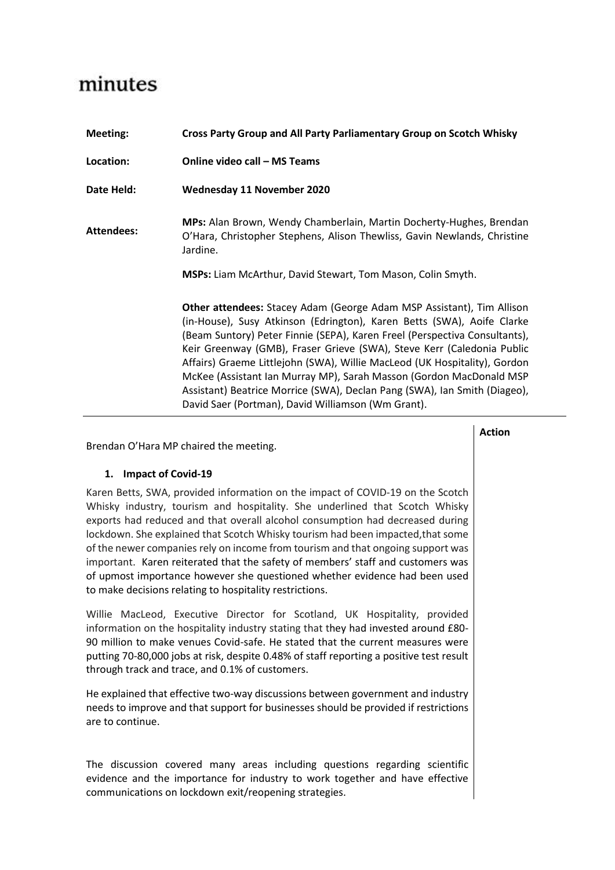## minutes

| Meeting:          | Cross Party Group and All Party Parliamentary Group on Scotch Whisky                                                                                                                                                                                                                                                                                                                                                                                                                                                                                                                                  |
|-------------------|-------------------------------------------------------------------------------------------------------------------------------------------------------------------------------------------------------------------------------------------------------------------------------------------------------------------------------------------------------------------------------------------------------------------------------------------------------------------------------------------------------------------------------------------------------------------------------------------------------|
| Location:         | <b>Online video call - MS Teams</b>                                                                                                                                                                                                                                                                                                                                                                                                                                                                                                                                                                   |
| Date Held:        | <b>Wednesday 11 November 2020</b>                                                                                                                                                                                                                                                                                                                                                                                                                                                                                                                                                                     |
| <b>Attendees:</b> | MPs: Alan Brown, Wendy Chamberlain, Martin Docherty-Hughes, Brendan<br>O'Hara, Christopher Stephens, Alison Thewliss, Gavin Newlands, Christine<br>Jardine.                                                                                                                                                                                                                                                                                                                                                                                                                                           |
|                   | <b>MSPs: Liam McArthur, David Stewart, Tom Mason, Colin Smyth.</b>                                                                                                                                                                                                                                                                                                                                                                                                                                                                                                                                    |
|                   | <b>Other attendees:</b> Stacey Adam (George Adam MSP Assistant), Tim Allison<br>(in-House), Susy Atkinson (Edrington), Karen Betts (SWA), Aoife Clarke<br>(Beam Suntory) Peter Finnie (SEPA), Karen Freel (Perspectiva Consultants),<br>Keir Greenway (GMB), Fraser Grieve (SWA), Steve Kerr (Caledonia Public<br>Affairs) Graeme Littlejohn (SWA), Willie MacLeod (UK Hospitality), Gordon<br>McKee (Assistant Ian Murray MP), Sarah Masson (Gordon MacDonald MSP<br>Assistant) Beatrice Morrice (SWA), Declan Pang (SWA), Ian Smith (Diageo),<br>David Saer (Portman), David Williamson (Wm Grant). |

|                                                                                                                                                                                                                                                                                                                                                                                                                                                                                                                                                                                                                                                  | <b>Action</b> |
|--------------------------------------------------------------------------------------------------------------------------------------------------------------------------------------------------------------------------------------------------------------------------------------------------------------------------------------------------------------------------------------------------------------------------------------------------------------------------------------------------------------------------------------------------------------------------------------------------------------------------------------------------|---------------|
| Brendan O'Hara MP chaired the meeting.                                                                                                                                                                                                                                                                                                                                                                                                                                                                                                                                                                                                           |               |
| 1. Impact of Covid-19                                                                                                                                                                                                                                                                                                                                                                                                                                                                                                                                                                                                                            |               |
| Karen Betts, SWA, provided information on the impact of COVID-19 on the Scotch<br>Whisky industry, tourism and hospitality. She underlined that Scotch Whisky<br>exports had reduced and that overall alcohol consumption had decreased during<br>lockdown. She explained that Scotch Whisky tourism had been impacted, that some<br>of the newer companies rely on income from tourism and that ongoing support was<br>important. Karen reiterated that the safety of members' staff and customers was<br>of upmost importance however she questioned whether evidence had been used<br>to make decisions relating to hospitality restrictions. |               |
| Willie MacLeod, Executive Director for Scotland, UK Hospitality, provided<br>information on the hospitality industry stating that they had invested around £80-<br>90 million to make venues Covid-safe. He stated that the current measures were<br>putting 70-80,000 jobs at risk, despite 0.48% of staff reporting a positive test result<br>through track and trace, and 0.1% of customers.                                                                                                                                                                                                                                                  |               |
| He explained that effective two-way discussions between government and industry<br>needs to improve and that support for businesses should be provided if restrictions<br>are to continue.                                                                                                                                                                                                                                                                                                                                                                                                                                                       |               |
| The discussion covered many areas including questions regarding scientific<br>evidence and the importance for industry to work together and have effective<br>communications on lockdown exit/reopening strategies.                                                                                                                                                                                                                                                                                                                                                                                                                              |               |